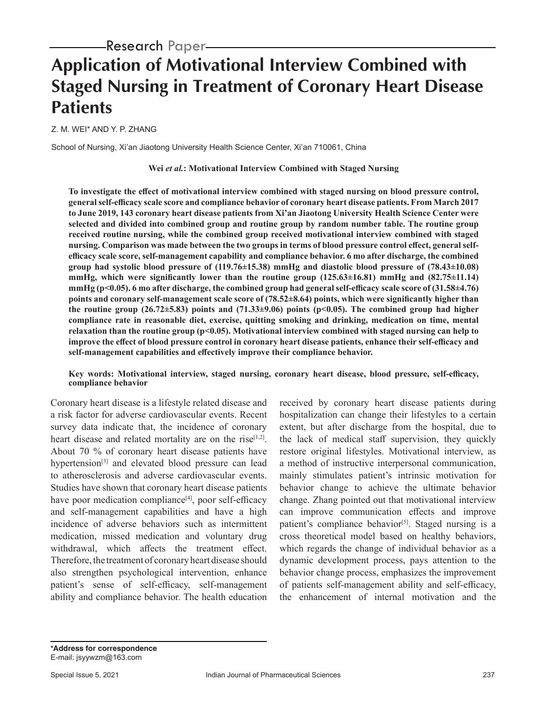# **Application of Motivational Interview Combined with Staged Nursing in Treatment of Coronary Heart Disease Patients**

Z. M. WEI\* AND Y. P. ZHANG

School of Nursing, Xi'an Jiaotong University Health Science Center, Xi'an 710061, China

#### **Wei** *et al.***: Motivational Interview Combined with Staged Nursing**

**To investigate the effect of motivational interview combined with staged nursing on blood pressure control, general self-efficacy scale score and compliance behavior of coronary heart disease patients. From March 2017 to June 2019, 143 coronary heart disease patients from Xi'an Jiaotong University Health Science Center were selected and divided into combined group and routine group by random number table. The routine group received routine nursing, while the combined group received motivational interview combined with staged nursing. Comparison was made between the two groups in terms of blood pressure control effect, general selfefficacy scale score, self-management capability and compliance behavior. 6 mo after discharge, the combined group had systolic blood pressure of (119.76±15.38) mmHg and diastolic blood pressure of (78.43±10.08) mmHg, which were significantly lower than the routine group (125.63±16.81) mmHg and (82.75±11.14) mmHg (p<0.05). 6 mo after discharge, the combined group had general self-efficacy scale score of (31.58±4.76) points and coronary self-management scale score of (78.52±8.64) points, which were significantly higher than the routine group (26.72±5.83) points and (71.33±9.06) points (p<0.05). The combined group had higher compliance rate in reasonable diet, exercise, quitting smoking and drinking, medication on time, mental relaxation than the routine group (p<0.05). Motivational interview combined with staged nursing can help to improve the effect of blood pressure control in coronary heart disease patients, enhance their self-efficacy and self-management capabilities and effectively improve their compliance behavior.**

#### **Key words: Motivational interview, staged nursing, coronary heart disease, blood pressure, self-efficacy, compliance behavior**

Coronary heart disease is a lifestyle related disease and a risk factor for adverse cardiovascular events. Recent survey data indicate that, the incidence of coronary heart disease and related mortality are on the rise<sup>[1,2]</sup>. About 70 % of coronary heart disease patients have hypertension<sup>[3]</sup> and elevated blood pressure can lead to atherosclerosis and adverse cardiovascular events. Studies have shown that coronary heart disease patients have poor medication compliance $[4]$ , poor self-efficacy and self-management capabilities and have a high incidence of adverse behaviors such as intermittent medication, missed medication and voluntary drug withdrawal, which affects the treatment effect. Therefore, the treatment of coronary heart disease should also strengthen psychological intervention, enhance patient's sense of self-efficacy, self-management ability and compliance behavior. The health education received by coronary heart disease patients during hospitalization can change their lifestyles to a certain extent, but after discharge from the hospital, due to the lack of medical staff supervision, they quickly restore original lifestyles. Motivational interview, as a method of instructive interpersonal communication, mainly stimulates patient's intrinsic motivation for behavior change to achieve the ultimate behavior change. Zhang pointed out that motivational interview can improve communication effects and improve patient's compliance behavior<sup>[5]</sup>. Staged nursing is a cross theoretical model based on healthy behaviors, which regards the change of individual behavior as a dynamic development process, pays attention to the behavior change process, emphasizes the improvement of patients self-management ability and self-efficacy, the enhancement of internal motivation and the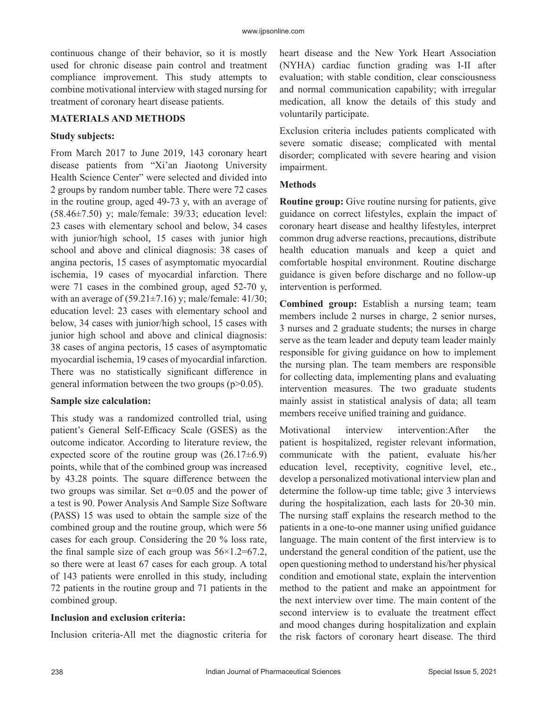continuous change of their behavior, so it is mostly used for chronic disease pain control and treatment compliance improvement. This study attempts to combine motivational interview with staged nursing for treatment of coronary heart disease patients.

# **MATERIALS AND METHODS**

## **Study subjects:**

From March 2017 to June 2019, 143 coronary heart disease patients from "Xi'an Jiaotong University Health Science Center" were selected and divided into 2 groups by random number table. There were 72 cases in the routine group, aged 49-73 y, with an average of (58.46±7.50) y; male/female: 39/33; education level: 23 cases with elementary school and below, 34 cases with junior/high school, 15 cases with junior high school and above and clinical diagnosis: 38 cases of angina pectoris, 15 cases of asymptomatic myocardial ischemia, 19 cases of myocardial infarction. There were 71 cases in the combined group, aged 52-70 y, with an average of  $(59.21 \pm 7.16)$  y; male/female: 41/30; education level: 23 cases with elementary school and below, 34 cases with junior/high school, 15 cases with junior high school and above and clinical diagnosis: 38 cases of angina pectoris, 15 cases of asymptomatic myocardial ischemia, 19 cases of myocardial infarction. There was no statistically significant difference in general information between the two groups (p>0.05).

### **Sample size calculation:**

This study was a randomized controlled trial, using patient's General Self-Efficacy Scale (GSES) as the outcome indicator. According to literature review, the expected score of the routine group was  $(26.17\pm6.9)$ points, while that of the combined group was increased by 43.28 points. The square difference between the two groups was similar. Set  $\alpha$ =0.05 and the power of a test is 90. Power Analysis And Sample Size Software (PASS) 15 was used to obtain the sample size of the combined group and the routine group, which were 56 cases for each group. Considering the 20 % loss rate, the final sample size of each group was  $56\times1.2=67.2$ , so there were at least 67 cases for each group. A total of 143 patients were enrolled in this study, including 72 patients in the routine group and 71 patients in the combined group.

### **Inclusion and exclusion criteria:**

Inclusion criteria-All met the diagnostic criteria for

heart disease and the New York Heart Association (NYHA) cardiac function grading was I-II after evaluation; with stable condition, clear consciousness and normal communication capability; with irregular medication, all know the details of this study and voluntarily participate.

Exclusion criteria includes patients complicated with severe somatic disease; complicated with mental disorder; complicated with severe hearing and vision impairment.

# **Methods**

**Routine group:** Give routine nursing for patients, give guidance on correct lifestyles, explain the impact of coronary heart disease and healthy lifestyles, interpret common drug adverse reactions, precautions, distribute health education manuals and keep a quiet and comfortable hospital environment. Routine discharge guidance is given before discharge and no follow-up intervention is performed.

**Combined group:** Establish a nursing team; team members include 2 nurses in charge, 2 senior nurses, 3 nurses and 2 graduate students; the nurses in charge serve as the team leader and deputy team leader mainly responsible for giving guidance on how to implement the nursing plan. The team members are responsible for collecting data, implementing plans and evaluating intervention measures. The two graduate students mainly assist in statistical analysis of data; all team members receive unified training and guidance.

Motivational interview intervention:After the patient is hospitalized, register relevant information, communicate with the patient, evaluate his/her education level, receptivity, cognitive level, etc., develop a personalized motivational interview plan and determine the follow-up time table; give 3 interviews during the hospitalization, each lasts for 20-30 min. The nursing staff explains the research method to the patients in a one-to-one manner using unified guidance language. The main content of the first interview is to understand the general condition of the patient, use the open questioning method to understand his/her physical condition and emotional state, explain the intervention method to the patient and make an appointment for the next interview over time. The main content of the second interview is to evaluate the treatment effect and mood changes during hospitalization and explain the risk factors of coronary heart disease. The third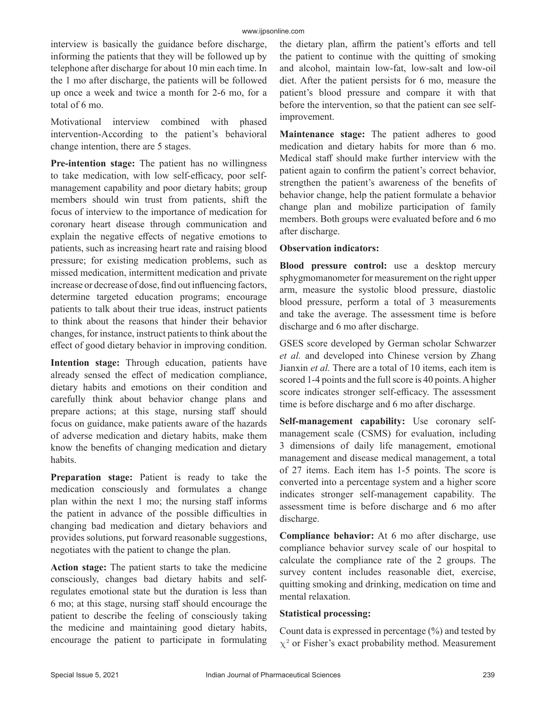interview is basically the guidance before discharge, informing the patients that they will be followed up by telephone after discharge for about 10 min each time. In the 1 mo after discharge, the patients will be followed up once a week and twice a month for 2-6 mo, for a total of 6 mo.

Motivational interview combined with phased intervention-According to the patient's behavioral change intention, there are 5 stages.

**Pre-intention stage:** The patient has no willingness to take medication, with low self-efficacy, poor selfmanagement capability and poor dietary habits; group members should win trust from patients, shift the focus of interview to the importance of medication for coronary heart disease through communication and explain the negative effects of negative emotions to patients, such as increasing heart rate and raising blood pressure; for existing medication problems, such as missed medication, intermittent medication and private increase or decrease of dose, find out influencing factors, determine targeted education programs; encourage patients to talk about their true ideas, instruct patients to think about the reasons that hinder their behavior changes, for instance, instruct patients to think about the effect of good dietary behavior in improving condition.

**Intention stage:** Through education, patients have already sensed the effect of medication compliance, dietary habits and emotions on their condition and carefully think about behavior change plans and prepare actions; at this stage, nursing staff should focus on guidance, make patients aware of the hazards of adverse medication and dietary habits, make them know the benefits of changing medication and dietary habits.

**Preparation stage:** Patient is ready to take the medication consciously and formulates a change plan within the next 1 mo; the nursing staff informs the patient in advance of the possible difficulties in changing bad medication and dietary behaviors and provides solutions, put forward reasonable suggestions, negotiates with the patient to change the plan.

**Action stage:** The patient starts to take the medicine consciously, changes bad dietary habits and selfregulates emotional state but the duration is less than 6 mo; at this stage, nursing staff should encourage the patient to describe the feeling of consciously taking the medicine and maintaining good dietary habits, encourage the patient to participate in formulating the dietary plan, affirm the patient's efforts and tell the patient to continue with the quitting of smoking and alcohol, maintain low-fat, low-salt and low-oil diet. After the patient persists for 6 mo, measure the patient's blood pressure and compare it with that before the intervention, so that the patient can see selfimprovement.

**Maintenance stage:** The patient adheres to good medication and dietary habits for more than 6 mo. Medical staff should make further interview with the patient again to confirm the patient's correct behavior, strengthen the patient's awareness of the benefits of behavior change, help the patient formulate a behavior change plan and mobilize participation of family members. Both groups were evaluated before and 6 mo after discharge.

### **Observation indicators:**

**Blood pressure control:** use a desktop mercury sphygmomanometer for measurement on the right upper arm, measure the systolic blood pressure, diastolic blood pressure, perform a total of 3 measurements and take the average. The assessment time is before discharge and 6 mo after discharge.

GSES score developed by German scholar Schwarzer *et al.* and developed into Chinese version by Zhang Jianxin *et al.* There are a total of 10 items, each item is scored 1-4 points and the full score is 40 points. A higher score indicates stronger self-efficacy. The assessment time is before discharge and 6 mo after discharge.

**Self-management capability:** Use coronary selfmanagement scale (CSMS) for evaluation, including 3 dimensions of daily life management, emotional management and disease medical management, a total of 27 items. Each item has 1-5 points. The score is converted into a percentage system and a higher score indicates stronger self-management capability. The assessment time is before discharge and 6 mo after discharge.

**Compliance behavior:** At 6 mo after discharge, use compliance behavior survey scale of our hospital to calculate the compliance rate of the 2 groups. The survey content includes reasonable diet, exercise, quitting smoking and drinking, medication on time and mental relaxation.

### **Statistical processing:**

Count data is expressed in percentage (%) and tested by  $\chi^2$  or Fisher's exact probability method. Measurement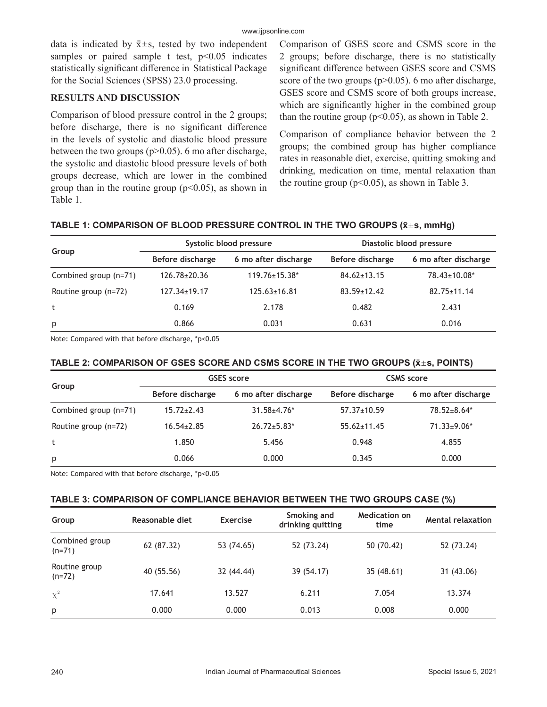#### www.ijpsonline.com

data is indicated by  $\bar{x} \pm s$ , tested by two independent samples or paired sample t test,  $p<0.05$  indicates statistically significant difference in Statistical Package for the Social Sciences (SPSS) 23.0 processing.

## **RESULTS AND DISCUSSION**

Comparison of blood pressure control in the 2 groups; before discharge, there is no significant difference in the levels of systolic and diastolic blood pressure between the two groups (p>0.05). 6 mo after discharge, the systolic and diastolic blood pressure levels of both groups decrease, which are lower in the combined group than in the routine group ( $p<0.05$ ), as shown in Table 1.

Comparison of GSES score and CSMS score in the 2 groups; before discharge, there is no statistically significant difference between GSES score and CSMS score of the two groups  $(p>0.05)$ . 6 mo after discharge, GSES score and CSMS score of both groups increase, which are significantly higher in the combined group than the routine group ( $p<0.05$ ), as shown in Table 2.

Comparison of compliance behavior between the 2 groups; the combined group has higher compliance rates in reasonable diet, exercise, quitting smoking and drinking, medication on time, mental relaxation than the routine group ( $p<0.05$ ), as shown in Table 3.

| Group                 | Systolic blood pressure |                      | Diastolic blood pressure |                      |  |
|-----------------------|-------------------------|----------------------|--------------------------|----------------------|--|
|                       | Before discharge        | 6 mo after discharge | Before discharge         | 6 mo after discharge |  |
| Combined group (n=71) | $126.78 \pm 20.36$      | $119.76 \pm 15.38^*$ | $84.62 \pm 13.15$        | 78.43±10.08*         |  |
| Routine group (n=72)  | $127.34 \pm 19.17$      | $125.63 \pm 16.81$   | $83.59 \pm 12.42$        | $82.75 \pm 11.14$    |  |
|                       | 0.169                   | 2.178                | 0.482                    | 2.431                |  |
| p                     | 0.866                   | 0.031                | 0.631                    | 0.016                |  |

### **TABLE 1: COMPARISON OF BLOOD PRESSURE CONTROL IN THE TWO GROUPS (x̄s, mmHg)**

Note: Compared with that before discharge, \*p<0.05

| Group                  |                  | <b>GSES</b> score    | <b>CSMS</b> score |                      |  |
|------------------------|------------------|----------------------|-------------------|----------------------|--|
|                        | Before discharge | 6 mo after discharge | Before discharge  | 6 mo after discharge |  |
| Combined group (n=71)  | $15.72 \pm 2.43$ | $31.58 + 4.76*$      | $57.37 \pm 10.59$ | $78.52 + 8.64*$      |  |
| Routine group $(n=72)$ | $16.54 \pm 2.85$ | $26.72 \pm 5.83*$    | $55.62 \pm 11.45$ | $71.33 \pm 9.06*$    |  |
| t                      | 1.850            | 5.456                | 0.948             | 4.855                |  |
| p                      | 0.066            | 0.000                | 0.345             | 0.000                |  |

Note: Compared with that before discharge, \*p<0.05

#### **TABLE 3: COMPARISON OF COMPLIANCE BEHAVIOR BETWEEN THE TWO GROUPS CASE (%)**

| Group                      | Reasonable diet | <b>Exercise</b> | Smoking and<br>drinking quitting | <b>Medication on</b><br>time | <b>Mental relaxation</b> |
|----------------------------|-----------------|-----------------|----------------------------------|------------------------------|--------------------------|
| Combined group<br>$(n=71)$ | 62 (87.32)      | 53 (74.65)      | 52 (73.24)                       | 50 (70.42)                   | 52 (73.24)               |
| Routine group<br>$(n=72)$  | 40 (55.56)      | 32 (44.44)      | 39 (54.17)                       | 35 (48.61)                   | 31 (43.06)               |
| $\chi^2$                   | 17.641          | 13.527          | 6.211                            | 7.054                        | 13.374                   |
| p                          | 0.000           | 0.000           | 0.013                            | 0.008                        | 0.000                    |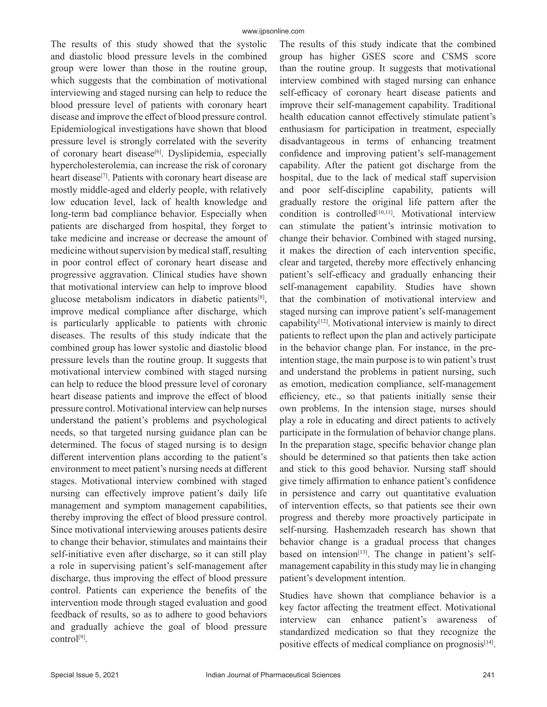The results of this study showed that the systolic and diastolic blood pressure levels in the combined group were lower than those in the routine group, which suggests that the combination of motivational interviewing and staged nursing can help to reduce the blood pressure level of patients with coronary heart disease and improve the effect of blood pressure control. Epidemiological investigations have shown that blood pressure level is strongly correlated with the severity of coronary heart disease<sup>[6]</sup>. Dyslipidemia, especially hypercholesterolemia, can increase the risk of coronary heart disease<sup>[7]</sup>. Patients with coronary heart disease are mostly middle-aged and elderly people, with relatively low education level, lack of health knowledge and long-term bad compliance behavior. Especially when patients are discharged from hospital, they forget to take medicine and increase or decrease the amount of medicine without supervision by medical staff, resulting in poor control effect of coronary heart disease and progressive aggravation. Clinical studies have shown that motivational interview can help to improve blood glucose metabolism indicators in diabetic patients[8], improve medical compliance after discharge, which is particularly applicable to patients with chronic diseases. The results of this study indicate that the combined group has lower systolic and diastolic blood pressure levels than the routine group. It suggests that motivational interview combined with staged nursing can help to reduce the blood pressure level of coronary heart disease patients and improve the effect of blood pressure control. Motivational interview can help nurses understand the patient's problems and psychological needs, so that targeted nursing guidance plan can be determined. The focus of staged nursing is to design different intervention plans according to the patient's environment to meet patient's nursing needs at different stages. Motivational interview combined with staged nursing can effectively improve patient's daily life management and symptom management capabilities, thereby improving the effect of blood pressure control. Since motivational interviewing arouses patients desire to change their behavior, stimulates and maintains their self-initiative even after discharge, so it can still play a role in supervising patient's self-management after discharge, thus improving the effect of blood pressure control. Patients can experience the benefits of the intervention mode through staged evaluation and good feedback of results, so as to adhere to good behaviors and gradually achieve the goal of blood pressure control<sup>[9]</sup>.

The results of this study indicate that the combined group has higher GSES score and CSMS score than the routine group. It suggests that motivational interview combined with staged nursing can enhance self-efficacy of coronary heart disease patients and improve their self-management capability. Traditional health education cannot effectively stimulate patient's enthusiasm for participation in treatment, especially disadvantageous in terms of enhancing treatment confidence and improving patient's self-management capability. After the patient got discharge from the hospital, due to the lack of medical staff supervision and poor self-discipline capability, patients will gradually restore the original life pattern after the condition is controlled<sup>[10,11]</sup>. Motivational interview can stimulate the patient's intrinsic motivation to change their behavior. Combined with staged nursing, it makes the direction of each intervention specific, clear and targeted, thereby more effectively enhancing patient's self-efficacy and gradually enhancing their self-management capability. Studies have shown that the combination of motivational interview and staged nursing can improve patient's self-management capability[12]. Motivational interview is mainly to direct patients to reflect upon the plan and actively participate in the behavior change plan. For instance, in the preintention stage, the main purpose is to win patient's trust and understand the problems in patient nursing, such as emotion, medication compliance, self-management efficiency, etc., so that patients initially sense their own problems. In the intension stage, nurses should play a role in educating and direct patients to actively participate in the formulation of behavior change plans. In the preparation stage, specific behavior change plan should be determined so that patients then take action and stick to this good behavior. Nursing staff should give timely affirmation to enhance patient's confidence in persistence and carry out quantitative evaluation of intervention effects, so that patients see their own progress and thereby more proactively participate in self-nursing. Hashemzadeh research has shown that behavior change is a gradual process that changes based on intension $[13]$ . The change in patient's selfmanagement capability in this study may lie in changing patient's development intention.

Studies have shown that compliance behavior is a key factor affecting the treatment effect. Motivational interview can enhance patient's awareness of standardized medication so that they recognize the positive effects of medical compliance on prognosis $[14]$ .